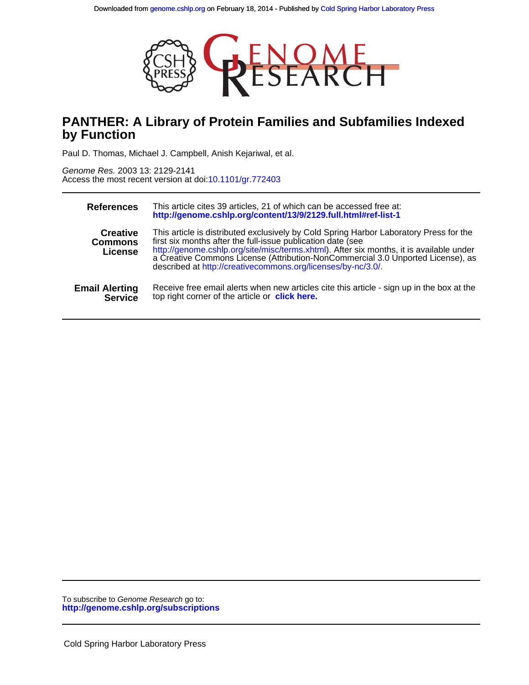

## **by Function PANTHER: A Library of Protein Families and Subfamilies Indexed**

Paul D. Thomas, Michael J. Campbell, Anish Kejariwal, et al.

Access the most recent version at doi[:10.1101/gr.772403](http://genome.cshlp.org/lookup/doi/10.1101/gr.772403) Genome Res. 2003 13: 2129-2141

| <b>References</b>                                   | This article cites 39 articles, 21 of which can be accessed free at:<br>http://genome.cshlp.org/content/13/9/2129.full.html#ref-list-1                                                                                                                                                                                                                                                              |
|-----------------------------------------------------|-----------------------------------------------------------------------------------------------------------------------------------------------------------------------------------------------------------------------------------------------------------------------------------------------------------------------------------------------------------------------------------------------------|
| <b>Creative</b><br><b>Commons</b><br><b>License</b> | This article is distributed exclusively by Cold Spring Harbor Laboratory Press for the<br>first six months after the full-issue publication date (see<br>http://genome.cshlp.org/site/misc/terms.xhtml). After six months, it is available under<br>a Creative Commons License (Attribution-NonCommercial 3.0 Unported License), as<br>described at http://creativecommons.org/licenses/by-nc/3.0/. |
| <b>Email Alerting</b><br><b>Service</b>             | Receive free email alerts when new articles cite this article - sign up in the box at the<br>top right corner of the article or click here.                                                                                                                                                                                                                                                         |

**<http://genome.cshlp.org/subscriptions>** To subscribe to Genome Research go to: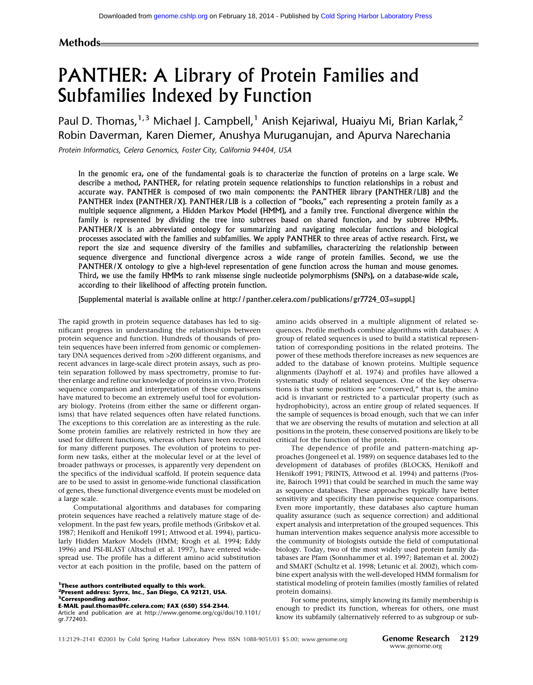# PANTHER: A Library of Protein Families and Subfamilies Indexed by Function

Paul D. Thomas,<sup>1,3</sup> Michael J. Campbell,<sup>1</sup> Anish Kejariwal, Huaiyu Mi, Brian Karlak,<sup>2</sup> Robin Daverman, Karen Diemer, Anushya Muruganujan, and Apurva Narechania *Protein Informatics, Celera Genomics, Foster City, California 94404, USA*

In the genomic era, one of the fundamental goals is to characterize the function of proteins on a large scale. We describe a method, PANTHER, for relating protein sequence relationships to function relationships in a robust and accurate way. PANTHER is composed of two main components: the PANTHER library (PANTHER/LIB) and the PANTHER index (PANTHER/X). PANTHER/LIB is a collection of "books," each representing a protein family as a multiple sequence alignment, a Hidden Markov Model (HMM), and a family tree. Functional divergence within the family is represented by dividing the tree into subtrees based on shared function, and by subtree HMMs. PANTHER/X is an abbreviated ontology for summarizing and navigating molecular functions and biological processes associated with the families and subfamilies. We apply PANTHER to three areas of active research. First, we report the size and sequence diversity of the families and subfamilies, characterizing the relationship between sequence divergence and functional divergence across a wide range of protein families. Second, we use the PANTHER/X ontology to give a high-level representation of gene function across the human and mouse genomes. Third, we use the family HMMs to rank missense single nucleotide polymorphisms (SNPs), on a database-wide scale, according to their likelihood of affecting protein function.

[Supplemental material is available online at http://panther.celera.com/publications/gr7724\_03=suppl.]

The rapid growth in protein sequence databases has led to significant progress in understanding the relationships between protein sequence and function. Hundreds of thousands of protein sequences have been inferred from genomic or complementary DNA sequences derived from >200 different organisms, and recent advances in large-scale direct protein assays, such as protein separation followed by mass spectrometry, promise to further enlarge and refine our knowledge of proteins in vivo. Protein sequence comparison and interpretation of these comparisons have matured to become an extremely useful tool for evolutionary biology. Proteins (from either the same or different organisms) that have related sequences often have related functions. The exceptions to this correlation are as interesting as the rule. Some protein families are relatively restricted in how they are used for different functions, whereas others have been recruited for many different purposes. The evolution of proteins to perform new tasks, either at the molecular level or at the level of broader pathways or processes, is apparently very dependent on the specifics of the individual scaffold. If protein sequence data are to be used to assist in genome-wide functional classification of genes, these functional divergence events must be modeled on a large scale.

Computational algorithms and databases for comparing protein sequences have reached a relatively mature stage of development. In the past few years, profile methods (Gribskov et al. 1987; Henikoff and Henikoff 1991; Attwood et al. 1994), particularly Hidden Markov Models (HMM; Krogh et al. 1994; Eddy 1996) and PSI-BLAST (Altschul et al. 1997), have entered widespread use. The profile has a different amino acid substitution vector at each position in the profile, based on the pattern of

**1These authors contributed equally to this work. 2Present address: Syrrx, Inc., San Diego, CA92121, USA. 3Corresponding author.**

**E-MAIL paul.thomas@fc.celera.com; FAX (650) 554-2344.**

Article and publication are at http://www.genome.org/cgi/doi/10.1101/ gr.772403.

amino acids observed in a multiple alignment of related sequences. Profile methods combine algorithms with databases: A group of related sequences is used to build a statistical representation of corresponding positions in the related proteins. The power of these methods therefore increases as new sequences are added to the database of known proteins. Multiple sequence alignments (Dayhoff et al. 1974) and profiles have allowed a systematic study of related sequences. One of the key observations is that some positions are "conserved," that is, the amino acid is invariant or restricted to a particular property (such as hydrophobicity), across an entire group of related sequences. If the sample of sequences is broad enough, such that we can infer that we are observing the results of mutation and selection at all positions in the protein, these conserved positions are likely to be critical for the function of the protein.

The dependence of profile and pattern-matching approaches (Jongeneel et al. 1989) on sequence databases led to the development of databases of profiles (BLOCKS, Henikoff and Henikoff 1991; PRINTS, Attwood et al. 1994) and patterns (Prosite, Bairoch 1991) that could be searched in much the same way as sequence databases. These approaches typically have better sensitivity and specificity than pairwise sequence comparisons. Even more importantly, these databases also capture human quality assurance (such as sequence correction) and additional expert analysis and interpretation of the grouped sequences. This human intervention makes sequence analysis more accessible to the community of biologists outside the field of computational biology. Today, two of the most widely used protein family databases are Pfam (Sonnhammer et al. 1997; Bateman et al. 2002) and SMART (Schultz et al. 1998; Letunic et al. 2002), which combine expert analysis with the well-developed HMM formalism for statistical modeling of protein families (mostly families of related protein domains).

For some proteins, simply knowing its family membership is enough to predict its function, whereas for others, one must know its subfamily (alternatively referred to as subgroup or sub-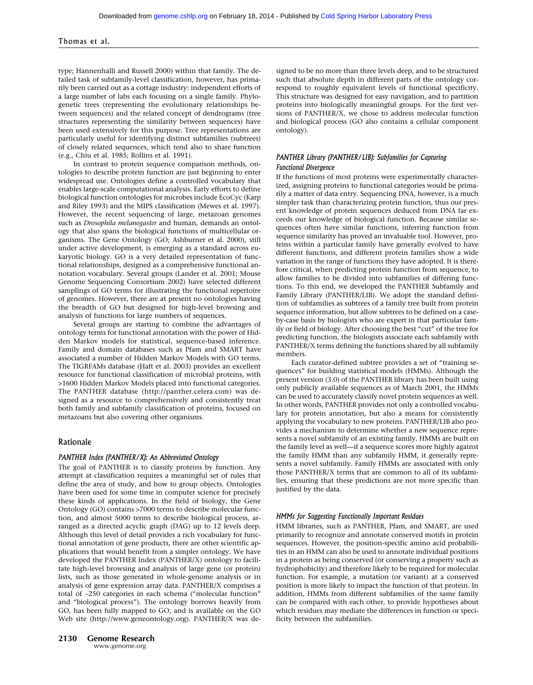#### Thomas et al.

type; Hannenhalli and Russell 2000) within that family. The detailed task of subfamily-level classification, however, has primarily been carried out as a cottage industry: independent efforts of a large number of labs each focusing on a single family. Phylogenetic trees (representing the evolutionary relationships between sequences) and the related concept of dendrograms (tree structures representing the similarity between sequences) have been used extensively for this purpose. Tree representations are particularly useful for identifying distinct subfamilies (subtrees) of closely related sequences, which tend also to share function (e.g., Chiu et al. 1985; Rollins et al. 1991).

In contrast to protein sequence comparison methods, ontologies to describe protein function are just beginning to enter widespread use. Ontologies define a controlled vocabulary that enables large-scale computational analysis. Early efforts to define biological function ontologies for microbes include EcoCyc (Karp and Riley 1993) and the MIPS classification (Mewes et al. 1997). However, the recent sequencing of large, metazoan genomes such as *Drosophila melanogaster* and human, demands an ontology that also spans the biological functions of multicellular organisms. The Gene Ontology (GO; Ashburner et al. 2000), still under active development, is emerging as a standard across eukaryotic biology. GO is a very detailed representation of functional relationships, designed as a comprehensive functional annotation vocabulary. Several groups (Lander et al. 2001; Mouse Genome Sequencing Consortium 2002) have selected different samplings of GO terms for illustrating the functional repertoire of genomes. However, there are at present no ontologies having the breadth of GO but designed for high-level browsing and analysis of functions for large numbers of sequences.

Several groups are starting to combine the advantages of ontology terms for functional annotation with the power of Hidden Markov models for statistical, sequence-based inference. Family and domain databases such as Pfam and SMART have associated a number of Hidden Markov Models with GO terms. The TIGRFAMs database (Haft et al. 2003) provides an excellent resource for functional classification of microbial proteins, with >1600 Hidden Markov Models placed into functional categories. The PANTHER database (http://panther.celera.com) was designed as a resource to comprehensively and consistently treat both family and subfamily classification of proteins, focused on metazoans but also covering other organisms.

#### Rationale

#### *PANTHER Index (PANTHER/X): An Abbreviated Ontology*

The goal of PANTHER is to classify proteins by function. Any attempt at classification requires a meaningful set of rules that define the area of study, and how to group objects. Ontologies have been used for some time in computer science for precisely these kinds of applications. In the field of biology, the Gene Ontology (GO) contains >7000 terms to describe molecular function, and almost 5000 terms to describe biological process, arranged as a directed acyclic graph (DAG) up to 12 levels deep. Although this level of detail provides a rich vocabulary for functional annotation of gene products, there are other scientific applications that would benefit from a simpler ontology. We have developed the PANTHER Index (PANTHER/X) ontology to facilitate high-level browsing and analysis of large gene (or protein) lists, such as those generated in whole-genome analysis or in analysis of gene expression array data. PANTHER/X comprises a total of ~250 categories in each schema ("molecular function" and "biological process"). The ontology borrows heavily from GO, has been fully mapped to GO, and is available on the GO Web site (http://www.geneontology.org). PANTHER/X was designed to be no more than three levels deep, and to be structured such that absolute depth in different parts of the ontology correspond to roughly equivalent levels of functional specificity. This structure was designed for easy navigation, and to partition proteins into biologically meaningful groups. For the first versions of PANTHER/X, we chose to address molecular function and biological process (GO also contains a cellular component ontology).

## *PANTHER Library (PANTHER/LIB): Subfamilies for Capturing Functional Divergence*

If the functions of most proteins were experimentally characterized, assigning proteins to functional categories would be primarily a matter of data entry. Sequencing DNA, however, is a much simpler task than characterizing protein function, thus our present knowledge of protein sequences deduced from DNA far exceeds our knowledge of biological function. Because similar sequences often have similar functions, inferring function from sequence similarity has proved an invaluable tool. However, proteins within a particular family have generally evolved to have different functions, and different protein families show a wide variation in the range of functions they have adopted. It is therefore critical, when predicting protein function from sequence, to allow families to be divided into subfamilies of differing functions. To this end, we developed the PANTHER Subfamily and Family Library (PANTHER/LIB). We adopt the standard definition of subfamilies as subtrees of a family tree built from protein sequence information, but allow subtrees to be defined on a caseby-case basis by biologists who are expert in that particular family or field of biology. After choosing the best "cut" of the tree for predicting function, the biologists associate each subfamily with PANTHER/X terms defining the functions shared by all subfamily members.

Each curator-defined subtree provides a set of "training sequences" for building statistical models (HMMs). Although the present version (3.0) of the PANTHER library has been built using only publicly available sequences as of March 2001, the HMMs can be used to accurately classify novel protein sequences as well. In other words, PANTHER provides not only a controlled vocabulary for protein annotation, but also a means for consistently applying the vocabulary to new proteins. PANTHER/LIB also provides a mechanism to determine whether a new sequence represents a novel subfamily of an existing family. HMMs are built on the family level as well—if a sequence scores more highly against the family HMM than any subfamily HMM, it generally represents a novel subfamily. Family HMMs are associated with only those PANTHER/X terms that are common to all of its subfamilies, ensuring that these predictions are not more specific than justified by the data.

#### *HMMs for Suggesting Functionally Important Residues*

HMM libraries, such as PANTHER, Pfam, and SMART, are used primarily to recognize and annotate conserved motifs in protein sequences. However, the position-specific amino acid probabilities in an HMM can also be used to annotate individual positions in a protein as being conserved (or conserving a property such as hydrophobicity) and therefore likely to be required for molecular function. For example, a mutation (or variant) at a conserved position is more likely to impact the function of that protein. In addition, HMMs from different subfamilies of the same family can be compared with each other, to provide hypotheses about which residues may mediate the differences in function or specificity between the subfamilies.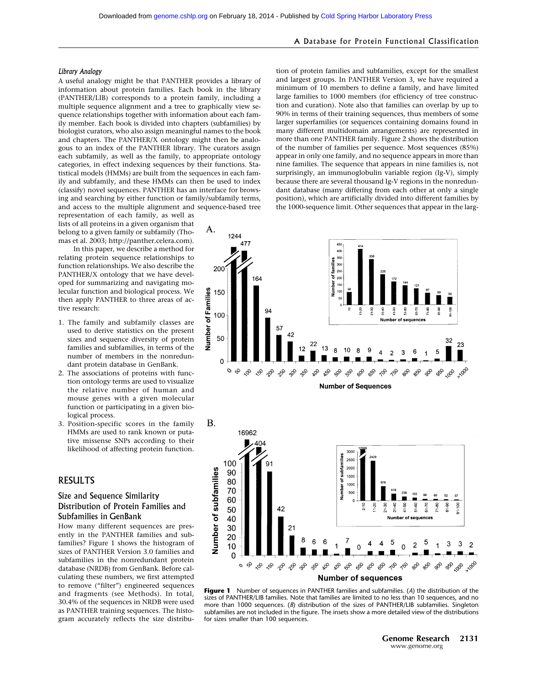#### *Library Analogy*

A useful analogy might be that PANTHER provides a library of information about protein families. Each book in the library (PANTHER/LIB) corresponds to a protein family, including a multiple sequence alignment and a tree to graphically view sequence relationships together with information about each family member. Each book is divided into chapters (subfamilies) by biologist curators, who also assign meaningful names to the book and chapters. The PANTHER/X ontology might then be analogous to an index of the PANTHER library. The curators assign each subfamily, as well as the family, to appropriate ontology categories, in effect indexing sequences by their functions. Statistical models (HMMs) are built from the sequences in each family and subfamily, and these HMMs can then be used to index (classify) novel sequences. PANTHER has an interface for browsing and searching by either function or family/subfamily terms, and access to the multiple alignment and sequence-based tree

representation of each family, as well as lists of all proteins in a given organism that belong to a given family or subfamily (Thomas et al. 2003; http://panther.celera.com).

In this paper, we describe a method for relating protein sequence relationships to function relationships. We also describe the PANTHER/X ontology that we have developed for summarizing and navigating molecular function and biological process. We then apply PANTHER to three areas of active research:

- 1. The family and subfamily classes are used to derive statistics on the present sizes and sequence diversity of protein families and subfamilies, in terms of the number of members in the nonredundant protein database in GenBank.
- 2. The associations of proteins with function ontology terms are used to visualize the relative number of human and mouse genes with a given molecular function or participating in a given biological process.
- 3. Position-specific scores in the family HMMs are used to rank known or putative missense SNPs according to their likelihood of affecting protein function.

### RESULTS

## Size and Sequence Similarity Distribution of Protein Families and Subfamilies in GenBank

How many different sequences are presently in the PANTHER families and subfamilies? Figure 1 shows the histogram of sizes of PANTHER Version 3.0 families and subfamilies in the nonredundant protein database (NRDB) from GenBank. Before calculating these numbers, we first attempted to remove ("filter") engineered sequences and fragments (see Methods). In total, 30.4% of the sequences in NRDB were used as PANTHER training sequences. The histogram accurately reflects the size distribu-

tion of protein families and subfamilies, except for the smallest and largest groups. In PANTHER Version 3, we have required a minimum of 10 members to define a family, and have limited large families to 1000 members (for efficiency of tree construction and curation). Note also that families can overlap by up to 90% in terms of their training sequences, thus members of some larger superfamilies (or sequences containing domains found in many different multidomain arrangements) are represented in more than one PANTHER family. Figure 2 shows the distribution of the number of families per sequence. Most sequences (85%) appear in only one family, and no sequence appears in more than nine families. The sequence that appears in nine families is, not surprisingly, an immunoglobulin variable region (Ig-V), simply because there are several thousand Ig-V regions in the nonredundant database (many differing from each other at only a single position), which are artificially divided into different families by the 1000-sequence limit. Other sequences that appear in the larg-





**Figure 1** Number of sequences in PANTHER families and subfamilies. (*A*) the distribution of the sizes of PANTHER/LIB families. Note that families are limited to no less than 10 sequences, and no more than 1000 sequences. (*B*) distribution of the sizes of PANTHER/LIB subfamilies. Singleton subfamilies are not included in the figure. The insets show a more detailed view of the distributions for sizes smaller than 100 sequences.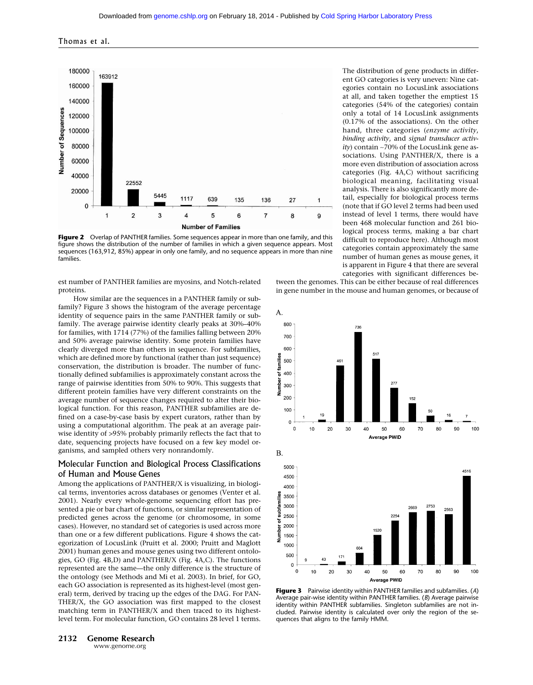

**Figure 2** Overlap of PANTHER families. Some sequences appear in more than one family, and this figure shows the distribution of the number of families in which a given sequence appears. Most sequences (163,912, 85%) appear in only one family, and no sequence appears in more than nine families.

est number of PANTHER families are myosins, and Notch-related proteins.

How similar are the sequences in a PANTHER family or subfamily? Figure 3 shows the histogram of the average percentage identity of sequence pairs in the same PANTHER family or subfamily. The average pairwise identity clearly peaks at 30%–40% for families, with 1714 (77%) of the families falling between 20% and 50% average pairwise identity. Some protein families have clearly diverged more than others in sequence. For subfamilies, which are defined more by functional (rather than just sequence) conservation, the distribution is broader. The number of functionally defined subfamilies is approximately constant across the range of pairwise identities from 50% to 90%. This suggests that different protein families have very different constraints on the average number of sequence changes required to alter their biological function. For this reason, PANTHER subfamilies are defined on a case-by-case basis by expert curators, rather than by using a computational algorithm. The peak at an average pairwise identity of >95% probably primarily reflects the fact that to date, sequencing projects have focused on a few key model organisms, and sampled others very nonrandomly.

## Molecular Function and Biological Process Classifications of Human and Mouse Genes

Among the applications of PANTHER/X is visualizing, in biological terms, inventories across databases or genomes (Venter et al. 2001). Nearly every whole-genome sequencing effort has presented a pie or bar chart of functions, or similar representation of predicted genes across the genome (or chromosome, in some cases). However, no standard set of categories is used across more than one or a few different publications. Figure 4 shows the categorization of LocusLink (Pruitt et al. 2000; Pruitt and Maglott 2001) human genes and mouse genes using two different ontologies, GO (Fig. 4B,D) and PANTHER/X (Fig. 4A,C). The functions represented are the same—the only difference is the structure of the ontology (see Methods and Mi et al. 2003). In brief, for GO, each GO association is represented as its highest-level (most general) term, derived by tracing up the edges of the DAG. For PAN-THER/X, the GO association was first mapped to the closest matching term in PANTHER/X and then traced to its highestlevel term. For molecular function, GO contains 28 level 1 terms.

The distribution of gene products in different GO categories is very uneven: Nine categories contain no LocusLink associations at all, and taken together the emptiest 15 categories (54% of the categories) contain only a total of 14 LocusLink assignments (0.17% of the associations). On the other hand, three categories (*enzyme activity*, *binding activity*, and *signal transducer activity*) contain ∼70% of the LocusLink gene associations. Using PANTHER/X, there is a more even distribution of association across categories (Fig. 4A,C) without sacrificing biological meaning, facilitating visual analysis. There is also significantly more detail, especially for biological process terms (note that if GO level 2 terms had been used instead of level 1 terms, there would have been 468 molecular function and 261 biological process terms, making a bar chart difficult to reproduce here). Although most categories contain approximately the same number of human genes as mouse genes, it is apparent in Figure 4 that there are several categories with significant differences be-

tween the genomes. This can be either because of real differences in gene number in the mouse and human genomes, or because of



**Figure 3** Pairwise identity within PANTHER families and subfamilies. (*A*) Average pair-wise identity within PANTHER families. (*B*) Average pairwise identity within PANTHER subfamilies. Singleton subfamilies are not included. Pairwise identity is calculated over only the region of the sequences that aligns to the family HMM.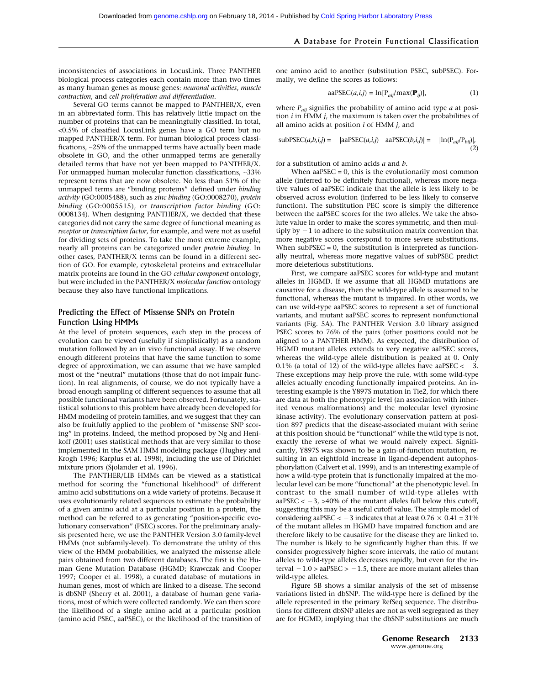inconsistencies of associations in LocusLink. Three PANTHER biological process categories each contain more than two times as many human genes as mouse genes: *neuronal activities*, *muscle contraction*, and *cell proliferation and differentiation*.

Several GO terms cannot be mapped to PANTHER/X, even in an abbreviated form. This has relatively little impact on the number of proteins that can be meaningfully classified. In total, <0.5% of classified LocusLink genes have a GO term but no mapped PANTHER/X term. For human biological process classifications, ∼25% of the unmapped terms have actually been made obsolete in GO, and the other unmapped terms are generally detailed terms that have not yet been mapped to PANTHER/X. For unmapped human molecular function classifications, ∼33% represent terms that are now obsolete. No less than 51% of the unmapped terms are "binding proteins" defined under *binding activity* (GO:0005488), such as *zinc binding* (GO:0008270), *protein binding* (GO:0005515), or *transcription factor binding* (GO: 0008134). When designing PANTHER/X, we decided that these categories did not carry the same degree of functional meaning as *receptor* or *transcription factor*, for example, and were not as useful for dividing sets of proteins. To take the most extreme example, nearly all proteins can be categorized under *protein binding*. In other cases, PANTHER/X terms can be found in a different section of GO. For example, cytoskeletal proteins and extracellular matrix proteins are found in the GO *cellular component* ontology, but were included in the PANTHER/X *molecular function* ontology because they also have functional implications.

## Predicting the Effect of Missense SNPs on Protein Function Using HMMs

At the level of protein sequences, each step in the process of evolution can be viewed (usefully if simplistically) as a random mutation followed by an in vivo functional assay. If we observe enough different proteins that have the same function to some degree of approximation, we can assume that we have sampled most of the "neutral" mutations (those that do not impair function). In real alignments, of course, we do not typically have a broad enough sampling of different sequences to assume that all possible functional variants have been observed. Fortunately, statistical solutions to this problem have already been developed for HMM modeling of protein families, and we suggest that they can also be fruitfully applied to the problem of "missense SNP scoring" in proteins. Indeed, the method proposed by Ng and Henikoff (2001) uses statistical methods that are very similar to those implemented in the SAM HMM modeling package (Hughey and Krogh 1996; Karplus et al. 1998), including the use of Dirichlet mixture priors (Sjolander et al. 1996).

The PANTHER/LIB HMMs can be viewed as a statistical method for scoring the "functional likelihood" of different amino acid substitutions on a wide variety of proteins. Because it uses evolutionarily related sequences to estimate the probability of a given amino acid at a particular position in a protein, the method can be referred to as generating "position-specific evolutionary conservation" (PSEC) scores. For the preliminary analysis presented here, we use the PANTHER Version 3.0 family-level HMMs (not subfamily-level). To demonstrate the utility of this view of the HMM probabilities, we analyzed the missense allele pairs obtained from two different databases. The first is the Human Gene Mutation Database (HGMD; Krawczak and Cooper 1997; Cooper et al. 1998), a curated database of mutations in human genes, most of which are linked to a disease. The second is dbSNP (Sherry et al. 2001), a database of human gene variations, most of which were collected randomly. We can then score the likelihood of a single amino acid at a particular position (amino acid PSEC, aaPSEC), or the likelihood of the transition of

one amino acid to another (substitution PSEC, subPSEC). Formally, we define the scores as follows:

$$
aaPSEC(a,i,j) = \ln[P_{aij}/\text{max}(\mathbf{P}_{ij})],\tag{1}
$$

where  $P_{ai}$  signifies the probability of amino acid type *a* at position *i* in HMM *j*, the maximum is taken over the probabilities of all amino acids at position *i* of HMM *j*, and

$$
subPSEC(a,b,i,j) = -|aapSEC(a,i,j) - aapSEC(b,i,j)| = -|ln(P_{aij}/P_{bij})|,
$$
\n(2)

for a substitution of amino acids *a* and *b*.

When aa $PSEC = 0$ , this is the evolutionarily most common allele (inferred to be definitely functional), whereas more negative values of aaPSEC indicate that the allele is less likely to be observed across evolution (inferred to be less likely to conserve function). The substitution PEC score is simply the difference between the aaPSEC scores for the two alleles. We take the absolute value in order to make the scores symmetric, and then multiply by  $-1$  to adhere to the substitution matrix convention that more negative scores correspond to more severe substitutions. When  $subPSEC = 0$ , the substitution is interpreted as functionally neutral, whereas more negative values of subPSEC predict more deleterious substitutions.

First, we compare aaPSEC scores for wild-type and mutant alleles in HGMD. If we assume that all HGMD mutations are causative for a disease, then the wild-type allele is assumed to be functional, whereas the mutant is impaired. In other words, we can use wild-type aaPSEC scores to represent a set of functional variants, and mutant aaPSEC scores to represent nonfunctional variants (Fig. 5A). The PANTHER Version 3.0 library assigned PSEC scores to 76% of the pairs (other positions could not be aligned to a PANTHER HMM). As expected, the distribution of HGMD mutant alleles extends to very negative aaPSEC scores, whereas the wild-type allele distribution is peaked at 0. Only 0.1% (a total of 12) of the wild-type alleles have aaPSEC  $<-3$ . These exceptions may help prove the rule, with some wild-type alleles actually encoding functionally impaired proteins. An interesting example is the Y897S mutation in Tie2, for which there are data at both the phenotypic level (an association with inherited venous malformations) and the molecular level (tyrosine kinase activity). The evolutionary conservation pattern at position 897 predicts that the disease-associated mutant with serine at this position should be "functional" while the wild type is not, exactly the reverse of what we would naively expect. Significantly, Y897S was shown to be a gain-of-function mutation, resulting in an eightfold increase in ligand-dependent autophosphorylation (Calvert et al. 1999), and is an interesting example of how a wild-type protein that is functionally impaired at the molecular level can be more "functional" at the phenotypic level. In contrast to the small number of wild-type alleles with aaPSEC  $<-3$ ,  $>40\%$  of the mutant alleles fall below this cutoff, suggesting this may be a useful cutoff value. The simple model of considering aa $\mathrm{PSEC} < -3$  indicates that at least  $0.76 \times 0.41$  =  $31\%$ of the mutant alleles in HGMD have impaired function and are therefore likely to be causative for the disease they are linked to. The number is likely to be significantly higher than this. If we consider progressively higher score intervals, the ratio of mutant alleles to wild-type alleles decreases rapidly, but even for the interval  $-1.0$  > aaPSEC >  $-1.5$ , there are more mutant alleles than wild-type alleles.

Figure 5B shows a similar analysis of the set of missense variations listed in dbSNP. The wild-type here is defined by the allele represented in the primary RefSeq sequence. The distributions for different dbSNP alleles are not as well segregated as they are for HGMD, implying that the dbSNP substitutions are much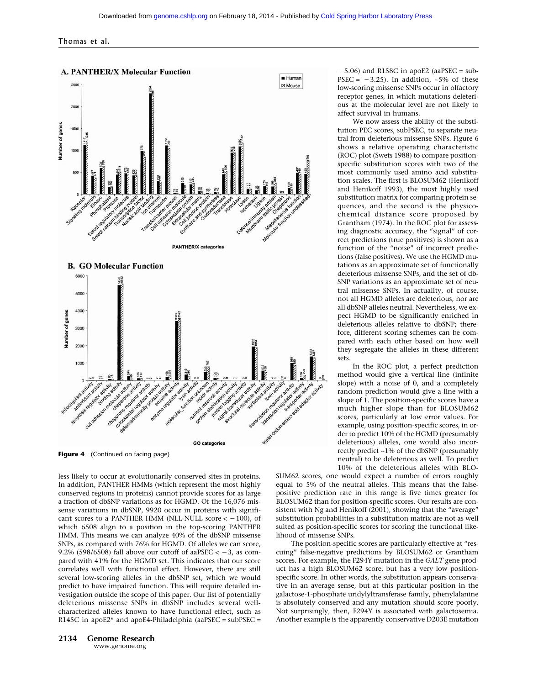

**Figure 4** (Continued on facing page)

less likely to occur at evolutionarily conserved sites in proteins. In addition, PANTHER HMMs (which represent the most highly conserved regions in proteins) cannot provide scores for as large a fraction of dbSNP variations as for HGMD. Of the 16,076 missense variations in dbSNP, 9920 occur in proteins with significant scores to a PANTHER HMM (NLL-NULL score  $<-100$ ), of which 6508 align to a position in the top-scoring PANTHER HMM. This means we can analyze 40% of the dbSNP missense SNPs, as compared with 76% for HGMD. Of alleles we can score, 9.2% (598/6508) fall above our cutoff of aaPSEC  $<-3$ , as compared with 41% for the HGMD set. This indicates that our score correlates well with functional effect. However, there are still several low-scoring alleles in the dbSNP set, which we would predict to have impaired function. This will require detailed investigation outside the scope of this paper. Our list of potentially deleterious missense SNPs in dbSNP includes several wellcharacterized alleles known to have functional effect, such as R145C in apoE2\* and apoE4-Philadelphia (aaPSEC = subPSEC =

**2134 Genome Research** www.genome.org

 $-5.06$ ) and R158C in apoE2 (aaPSEC = sub-PSEC =  $-3.25$ ). In addition, ~5% of these low-scoring missense SNPs occur in olfactory receptor genes, in which mutations deleterious at the molecular level are not likely to affect survival in humans.

We now assess the ability of the substitution PEC scores, subPSEC, to separate neutral from deleterious missense SNPs. Figure 6 shows a relative operating characteristic (ROC) plot (Swets 1988) to compare positionspecific substitution scores with two of the most commonly used amino acid substitution scales. The first is BLOSUM62 (Henikoff and Henikoff 1993), the most highly used substitution matrix for comparing protein sequences, and the second is the physicochemical distance score proposed by Grantham (1974). In the ROC plot for assessing diagnostic accuracy, the "signal" of correct predictions (true positives) is shown as a function of the "noise" of incorrect predictions (false positives). We use the HGMD mutations as an approximate set of functionally deleterious missense SNPs, and the set of db-SNP variations as an approximate set of neutral missense SNPs. In actuality, of course, not all HGMD alleles are deleterious, nor are all dbSNP alleles neutral. Nevertheless, we expect HGMD to be significantly enriched in deleterious alleles relative to dbSNP; therefore, different scoring schemes can be compared with each other based on how well they segregate the alleles in these different sets.

In the ROC plot, a perfect prediction method would give a vertical line (infinite slope) with a noise of 0, and a completely random prediction would give a line with a slope of 1. The position-specific scores have a much higher slope than for BLOSUM62 scores, particularly at low error values. For example, using position-specific scores, in order to predict 10% of the HGMD (presumably deleterious) alleles, one would also incorrectly predict ∼1% of the dbSNP (presumably neutral) to be deleterious as well. To predict 10% of the deleterious alleles with BLO-

SUM62 scores, one would expect a number of errors roughly equal to 5% of the neutral alleles. This means that the falsepositive prediction rate in this range is five times greater for BLOSUM62 than for position-specific scores. Our results are consistent with Ng and Henikoff (2001), showing that the "average" substitution probabilities in a substitution matrix are not as well suited as position-specific scores for scoring the functional likelihood of missense SNPs.

The position-specific scores are particularly effective at "rescuing" false-negative predictions by BLOSUM62 or Grantham scores. For example, the F294Y mutation in the *GALT* gene product has a high BLOSUM62 score, but has a very low positionspecific score. In other words, the substitution appears conservative in an average sense, but at this particular position in the galactose-1-phosphate uridylyltransferase family, phenylalanine is absolutely conserved and any mutation should score poorly. Not surprisingly, then, F294Y is associated with galactosemia. Another example is the apparently conservative D203E mutation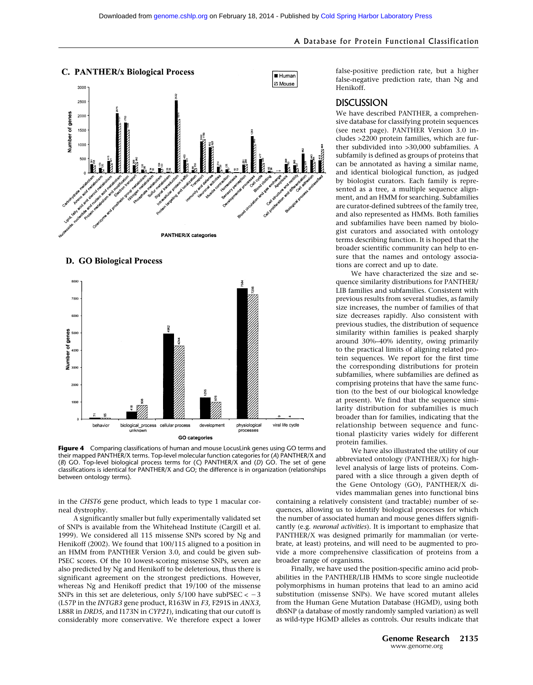

#### **D. GO Biological Process**



**Figure 4** Comparing classifications of human and mouse LocusLink genes using GO terms and their mapped PANTHER/X terms. Top-level molecular function categories for (*A*) PANTHER/X and (*B*) GO. Top-level biological process terms for (*C*) PANTHER/X and (*D*) GO. The set of gene classifications is identical for PANTHER/X and GO; the difference is in organization (relationships between ontology terms).

in the *CHST6* gene product, which leads to type 1 macular corneal dystrophy.

A significantly smaller but fully experimentally validated set of SNPs is available from the Whitehead Institute (Cargill et al. 1999). We considered all 115 missense SNPs scored by Ng and Henikoff (2002). We found that 100/115 aligned to a position in an HMM from PANTHER Version 3.0, and could be given sub-PSEC scores. Of the 10 lowest-scoring missense SNPs, seven are also predicted by Ng and Henikoff to be deleterious, thus there is significant agreement on the strongest predictions. However, whereas Ng and Henikoff predict that 19/100 of the missense SNPs in this set are deleterious, only  $5/100$  have subPSEC  $<-3$ (L57P in the *INTGB3* gene product, R163W in *F3,* F291S in *ANX3,* L88R in *DRD5,* and I173N in *CYP21*), indicating that our cutoff is considerably more conservative. We therefore expect a lower

false-positive prediction rate, but a higher false-negative prediction rate, than Ng and Henikoff.

## **DISCUSSION**

We have described PANTHER, a comprehensive database for classifying protein sequences (see next page). PANTHER Version 3.0 includes >2200 protein families, which are further subdivided into >30,000 subfamilies. A subfamily is defined as groups of proteins that can be annotated as having a similar name, and identical biological function, as judged by biologist curators. Each family is represented as a tree, a multiple sequence alignment, and an HMM for searching. Subfamilies are curator-defined subtrees of the family tree, and also represented as HMMs. Both families and subfamilies have been named by biologist curators and associated with ontology terms describing function. It is hoped that the broader scientific community can help to ensure that the names and ontology associations are correct and up to date.

We have characterized the size and sequence similarity distributions for PANTHER/ LIB families and subfamilies. Consistent with previous results from several studies, as family size increases, the number of families of that size decreases rapidly. Also consistent with previous studies, the distribution of sequence similarity within families is peaked sharply around 30%–40% identity, owing primarily to the practical limits of aligning related protein sequences. We report for the first time the corresponding distributions for protein subfamilies, where subfamilies are defined as comprising proteins that have the same function (to the best of our biological knowledge at present). We find that the sequence similarity distribution for subfamilies is much broader than for families, indicating that the relationship between sequence and functional plasticity varies widely for different protein families.

We have also illustrated the utility of our abbreviated ontology (PANTHER/X) for highlevel analysis of large lists of proteins. Compared with a slice through a given depth of the Gene Ontology (GO), PANTHER/X divides mammalian genes into functional bins

containing a relatively consistent (and tractable) number of sequences, allowing us to identify biological processes for which the number of associated human and mouse genes differs significantly (e.g. *neuronal activities*). It is important to emphasize that PANTHER/X was designed primarily for mammalian (or vertebrate, at least) proteins, and will need to be augmented to provide a more comprehensive classification of proteins from a broader range of organisms.

Finally, we have used the position-specific amino acid probabilities in the PANTHER/LIB HMMs to score single nucleotide polymorphisms in human proteins that lead to an amino acid substitution (missense SNPs). We have scored mutant alleles from the Human Gene Mutation Database (HGMD), using both dbSNP (a database of mostly randomly sampled variation) as well as wild-type HGMD alleles as controls. Our results indicate that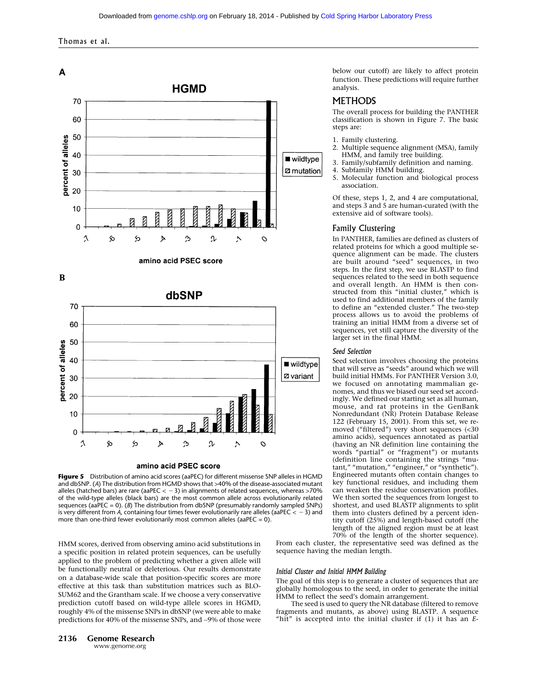#### Thomas et al.



amino acid PSEC score

 $\bf{B}$ 



#### amino acid PSEC score

**Figure 5** Distribution of amino acid scores (aaPEC) for different missense SNP alleles in HGMD and dbSNP. (*A*) The distribution from HGMD shows that >40% of the disease-associated mutant alleles (hatched bars) are rare (aaPEC  $<-3$ ) in alignments of related sequences, whereas >70% of the wild-type alleles (black bars) are the most common allele across evolutionarily related sequences (aaPEC = 0). (*B*) The distribution from dbSNP (presumably randomly sampled SNPs) is very different from  $A$ , containing four times fewer evolutionarily rare alleles (aaPEC  $<-3$ ) and more than one-third fewer evolutionarily most common alleles (aaPEC =  $0$ ).

HMM scores, derived from observing amino acid substitutions in a specific position in related protein sequences, can be usefully applied to the problem of predicting whether a given allele will be functionally neutral or deleterious. Our results demonstrate on a database-wide scale that position-specific scores are more effective at this task than substitution matrices such as BLO-SUM62 and the Grantham scale. If we choose a very conservative prediction cutoff based on wild-type allele scores in HGMD, roughly 4% of the missense SNPs in dbSNP (we were able to make predictions for 40% of the missense SNPs, and ∼9% of those were

below our cutoff) are likely to affect protein function. These predictions will require further analysis.

## **METHODS**

The overall process for building the PANTHER classification is shown in Figure 7. The basic steps are:

- 1. Family clustering.
- 2. Multiple sequence alignment (MSA), family HMM, and family tree building.
- 3. Family/subfamily definition and naming.
- 4. Subfamily HMM building.
- 5. Molecular function and biological process association.

Of these, steps 1, 2, and 4 are computational, and steps 3 and 5 are human-curated (with the extensive aid of software tools).

#### Family Clustering

In PANTHER, families are defined as clusters of related proteins for which a good multiple sequence alignment can be made. The clusters are built around "seed" sequences, in two steps. In the first step, we use BLASTP to find sequences related to the seed in both sequence and overall length. An HMM is then constructed from this "initial cluster," which is used to find additional members of the family to define an "extended cluster." The two-step process allows us to avoid the problems of training an initial HMM from a diverse set of sequences, yet still capture the diversity of the larger set in the final HMM.

#### *Seed Selection*

Seed selection involves choosing the proteins that will serve as "seeds" around which we will build initial HMMs. For PANTHER Version 3.0, we focused on annotating mammalian genomes, and thus we biased our seed set accordingly. We defined our starting set as all human, mouse, and rat proteins in the GenBank Nonredundant (NR) Protein Database Release 122 (February 15, 2001). From this set, we removed ("filtered") very short sequences (<30 amino acids), sequences annotated as partial (having an NR definition line containing the words "partial" or "fragment") or mutants (definition line containing the strings "mutant," "mutation," "engineer," or "synthetic"). Engineered mutants often contain changes to key functional residues, and including them can weaken the residue conservation profiles. We then sorted the sequences from longest to shortest, and used BLASTP alignments to split them into clusters defined by a percent identity cutoff (25%) and length-based cutoff (the length of the aligned region must be at least 70% of the length of the shorter sequence).

From each cluster, the representative seed was defined as the sequence having the median length.

#### *Initial Cluster and Initial HMM Building*

The goal of this step is to generate a cluster of sequences that are globally homologous to the seed, in order to generate the initial HMM to reflect the seed's domain arrangement.

The seed is used to query the NR database (filtered to remove fragments and mutants, as above) using BLASTP. A sequence "hit" is accepted into the initial cluster if (1) it has an *E*-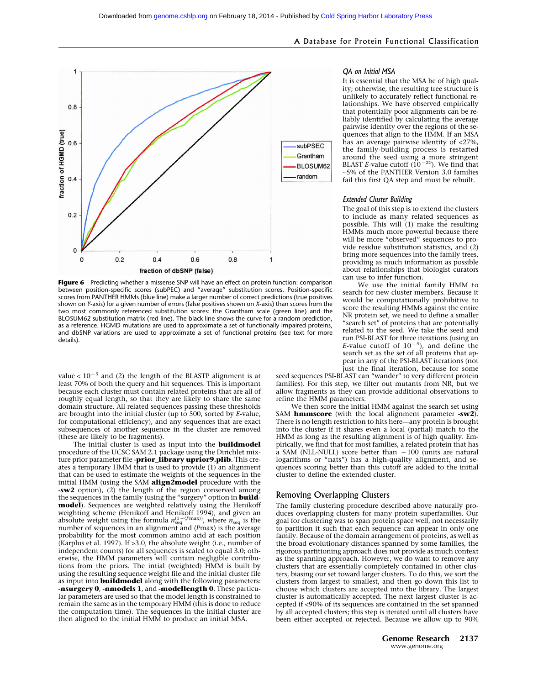

**Figure 6** Predicting whether a missense SNP will have an effect on protein function: comparison between position-specific scores (subPEC) and "average" substitution scores. Position-specific scores from PANTHER HMMs (blue line) make a larger number of correct predictions (true positives shown on *Y*-axis) for a given number of errors (false positives shown on *X*-axis) than scores from the two most commonly referenced substitution scores: the Grantham scale (green line) and the BLOSUM62 substitution matrix (red line). The black line shows the curve for a random prediction, as a reference. HGMD mutations are used to approximate a set of functionally impaired proteins, and dbSNP variations are used to approximate a set of functional proteins (see text for more details).

value  $< 10^{-5}$  and (2) the length of the BLASTP alignment is at least 70% of both the query and hit sequences. This is important because each cluster must contain related proteins that are all of roughly equal length, so that they are likely to share the same domain structure. All related sequences passing these thresholds are brought into the initial cluster (up to 500, sorted by *E*-value, for computational efficiency), and any sequences that are exact subsequences of another sequence in the cluster are removed (these are likely to be fragments).

The initial cluster is used as input into the **buildmodel** procedure of the UCSC SAM 2.1 package using the Dirichlet mixture prior parameter file **-prior\_library uprior9.plib**. This creates a temporary HMM that is used to provide (1) an alignment that can be used to estimate the weights of the sequences in the initial HMM (using the SAM **align2model** procedure with the **-sw2** option), (2) the length of the region conserved among the sequences in the family (using the "surgery" option in **buildmodel**). Sequences are weighted relatively using the Henikoff weighting scheme (Henikoff and Henikoff 1994), and given an absolute weight using the formula  $n_{\text{seq}}^{(1 - \langle P \text{max} \rangle)}$ , where  $n_{\text{seq}}$  is the number of sequences in an alignment and  $\langle P \text{max} \rangle$  is the average probability for the most common amino acid at each position (Karplus et al. 1997). If >3.0, the absolute weight (i.e., number of independent counts) for all sequences is scaled to equal 3.0; otherwise, the HMM parameters will contain negligible contributions from the priors. The intial (weighted) HMM is built by using the resulting sequence weight file and the initial cluster file as input into **buildmodel** along with the following parameters: **-nsurgery 0**, **-nmodels 1**, and **-modellength 0**. These particular parameters are used so that the model length is constrained to remain the same as in the temporary HMM (this is done to reduce the computation time). The sequences in the initial cluster are then aligned to the initial HMM to produce an initial MSA.

#### *QA on Initial MSA*

It is essential that the MSA be of high quality; otherwise, the resulting tree structure is unlikely to accurately reflect functional relationships. We have observed empirically that potentially poor alignments can be reliably identified by calculating the average pairwise identity over the regions of the sequences that align to the HMM. If an MSA has an average pairwise identity of <27%, the family-building process is restarted around the seed using a more stringent<br>BLAST *E*-value cutoff (10<sup>-20</sup>). We find that ∼5% of the PANTHER Version 3.0families fail this first QA step and must be rebuilt.

#### *Extended Cluster Building*

The goal of this step is to extend the clusters to include as many related sequences as possible. This will (1) make the resulting HMMs much more powerful because there will be more "observed" sequences to provide residue substitution statistics, and (2) bring more sequences into the family trees, providing as much information as possible about relationships that biologist curators can use to infer function.

We use the initial family HMM to search for new cluster members. Because it would be computationally prohibitive to score the resulting HMMs against the entire NR protein set, we need to define a smaller "search set" of proteins that are potentially related to the seed. We take the seed and run PSI-BLAST for three iterations (using an *E*-value cutoff of  $10^{-5}$ ), and define the search set as the set of all proteins that appear in any of the PSI-BLAST iterations (not just the final iteration, because for some

seed sequences PSI-BLAST can "wander" to very different protein families). For this step, we filter out mutants from NR, but we allow fragments as they can provide additional observations to refine the HMM parameters.

We then score the initial HMM against the search set using SAM **hmmscore** (with the local alignment parameter **-sw2**). There is no length restriction to hits here—any protein is brought into the cluster if it shares even a local (partial) match to the HMM as long as the resulting alignment is of high quality. Empirically, we find that for most families, a related protein that has a SAM (NLL-NULL) score better than  $-100$  (units are natural logarithms or "nats") has a high-quality alignment, and sequences scoring better than this cutoff are added to the initial cluster to define the extended cluster.

#### Removing Overlapping Clusters

The family clustering procedure described above naturally produces overlapping clusters for many protein superfamilies. Our goal for clustering was to span protein space well, not necessarily to partition it such that each sequence can appear in only one family. Because of the domain arrangement of proteins, as well as the broad evolutionary distances spanned by some families, the rigorous partitioning approach does not provide as much context as the spanning approach. However, we do want to remove any clusters that are essentially completely contained in other clusters, biasing our set toward larger clusters. To do this, we sort the clusters from largest to smallest, and then go down this list to choose which clusters are accepted into the library. The largest cluster is automatically accepted. The next largest cluster is accepted if <90% of its sequences are contained in the set spanned by all accepted clusters; this step is iterated until all clusters have been either accepted or rejected. Because we allow up to 90%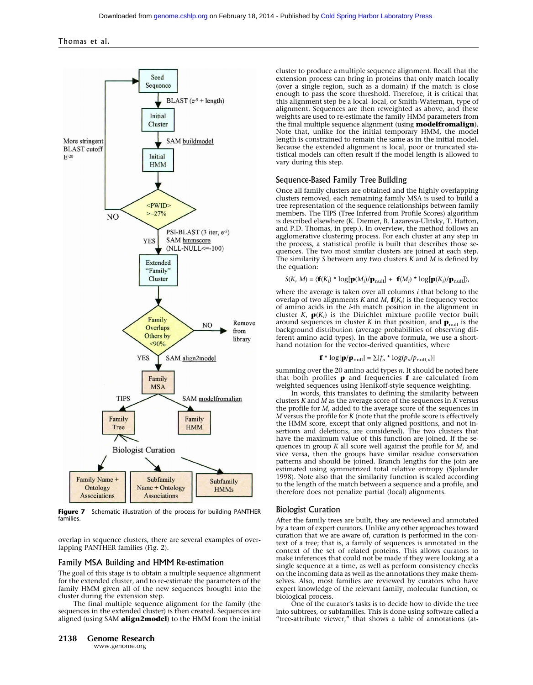

**Figure 7** Schematic illustration of the process for building PANTHER families.

overlap in sequence clusters, there are several examples of overlapping PANTHER families (Fig. 2).

#### Family MSA Building and HMM Re-estimation

The goal of this stage is to obtain a multiple sequence alignment for the extended cluster, and to re-estimate the parameters of the family HMM given all of the new sequences brought into the cluster during the extension step.

The final multiple sequence alignment for the family (the sequences in the extended cluster) is then created. Sequences are aligned (using SAM **align2model**) to the HMM from the initial cluster to produce a multiple sequence alignment. Recall that the extension process can bring in proteins that only match locally (over a single region, such as a domain) if the match is close enough to pass the score threshold. Therefore, it is critical that this alignment step be a local–local, or Smith-Waterman, type of alignment. Sequences are then reweighted as above, and these weights are used to re-estimate the family HMM parameters from the final multiple sequence alignment (using **modelfromalign**). Note that, unlike for the initial temporary HMM, the model length is constrained to remain the same as in the initial model. Because the extended alignment is local, poor or truncated statistical models can often result if the model length is allowed to vary during this step.

#### Sequence-Based Family Tree Building

Once all family clusters are obtained and the highly overlapping clusters removed, each remaining family MSA is used to build a tree representation of the sequence relationships between family members. The TIPS (Tree Inferred from Profile Scores) algorithm is described elsewhere (K. Diemer, B. Lazareva-Ulitsky, T. Hatton, and P.D. Thomas, in prep.). In overview, the method follows an agglomerative clustering process. For each cluster at any step in the process, a statistical profile is built that describes those sequences. The two most similar clusters are joined at each step. The similarity *S* between any two clusters *K* and *M* is defined by the equation:

$$
S(K, M) = \langle \mathbf{f}(K_i) \cdot \log[\mathbf{p}(M_i)/\mathbf{p}_{\text{null}}] + \mathbf{f}(M_i) \cdot \log[\mathbf{p}(K_i)/\mathbf{p}_{\text{null}}] \rangle,
$$

where the average is taken over all columns *i* that belong to the overlap of two alignments  $K$  and  $M$ ,  $\mathbf{f}(K_{i})$  is the frequency vector of amino acids in the *i*-th match position in the alignment in cluster *K*, **p**(*Ki* ) is the Dirichlet mixture profile vector built around sequences in cluster  $K$  in that position, and  $\mathbf{p}_{\text{null}}$  is the background distribution (average probabilities of observing different amino acid types). In the above formula, we use a shorthand notation for the vector-derived quantities, where

$$
\mathbf{f} \cdot \log[\mathbf{p}/\mathbf{p}_{\text{null}}] = \sum [f_n \cdot \log(p_n/p_{\text{null},n})]
$$

summing over the 20 amino acid types *n*. It should be noted here that both profiles **p** and frequencies **f** are calculated from weighted sequences using Henikoff-style sequence weighting.

In words, this translates to defining the similarity between clusters *K* and *M* as the average score of the sequences in *K* versus the profile for *M*, added to the average score of the sequences in *M* versus the profile for *K* (note that the profile score is effectively the HMM score, except that only aligned positions, and not insertions and deletions, are considered). The two clusters that have the maximum value of this function are joined. If the sequences in group *K* all score well against the profile for *M*, and vice versa, then the groups have similar residue conservation patterns and should be joined. Branch lengths for the join are estimated using symmetrized total relative entropy (Sjolander 1998). Note also that the similarity function is scaled according to the length of the match between a sequence and a profile, and therefore does not penalize partial (local) alignments.

#### Biologist Curation

After the family trees are built, they are reviewed and annotated by a team of expert curators. Unlike any other approaches toward curation that we are aware of, curation is performed in the context of a tree; that is, a family of sequences is annotated in the context of the set of related proteins. This allows curators to make inferences that could not be made if they were looking at a single sequence at a time, as well as perform consistency checks on the incoming data as well as the annotations they make themselves. Also, most families are reviewed by curators who have expert knowledge of the relevant family, molecular function, or biological process.

One of the curator's tasks is to decide how to divide the tree into subtrees, or subfamilies. This is done using software called a "tree-attribute viewer," that shows a table of annotations (at-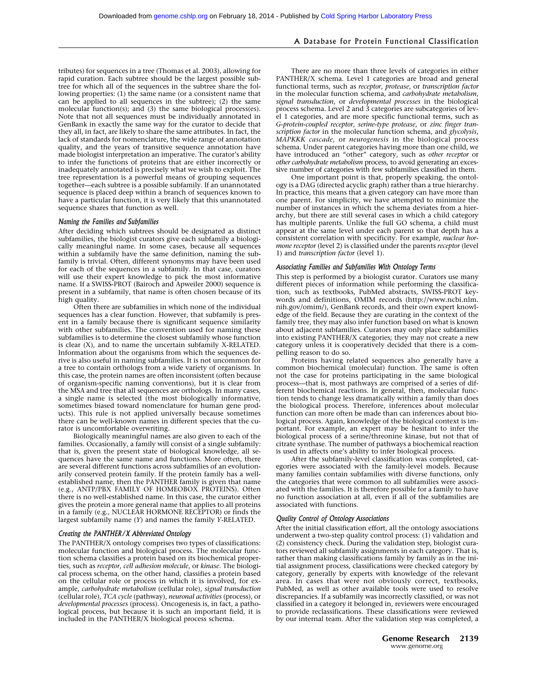tributes) for sequences in a tree (Thomas et al. 2003), allowing for rapid curation. Each subtree should be the largest possible subtree for which all of the sequences in the subtree share the following properties: (1) the same name (or a consistent name that can be applied to all sequences in the subtree); (2) the same molecular function(s); and (3) the same biological process(es). Note that not all sequences must be individually annotated in GenBank in exactly the same way for the curator to decide that they all, in fact, are likely to share the same attributes. In fact, the lack of standards for nomenclature, the wide range of annotation quality, and the years of transitive sequence annotation have made biologist interpretation an imperative. The curator's ability to infer the functions of proteins that are either incorrectly or inadequately annotated is precisely what we wish to exploit. The tree representation is a powerful means of grouping sequences together—each subtree is a possible subfamily. If an unannotated sequence is placed deep within a branch of sequences known to have a particular function, it is very likely that this unannotated sequence shares that function as well.

## *Naming the Families and Subfamilies*

After deciding which subtrees should be designated as distinct subfamilies, the biologist curators give each subfamily a biologically meaningful name. In some cases, because all sequences within a subfamily have the same definition, naming the subfamily is trivial. Often, different synonyms may have been used for each of the sequences in a subfamily. In that case, curators will use their expert knowledge to pick the most informative name. If a SWISS-PROT (Bairoch and Apweiler 2000) sequence is present in a subfamily, that name is often chosen because of its high quality.

Often there are subfamilies in which none of the individual sequences has a clear function. However, that subfamily is present in a family because there is significant sequence similarity with other subfamilies. The convention used for naming these subfamilies is to determine the closest subfamily whose function is clear (X), and to name the uncertain subfamily X-RELATED. Information about the organisms from which the sequences derive is also useful in naming subfamilies. It is not uncommon for a tree to contain orthologs from a wide variety of organisms. In this case, the protein names are often inconsistent (often because of organism-specific naming conventions), but it is clear from the MSA and tree that all sequences are orthologs. In many cases, a single name is selected (the most biologically informative, sometimes biased toward nomenclature for human gene products). This rule is not applied universally because sometimes there can be well-known names in different species that the curator is uncomfortable overwriting.

Biologically meaningful names are also given to each of the families. Occasionally, a family will consist of a single subfamily: that is, given the present state of biological knowledge, all sequences have the same name and functions. More often, there are several different functions across subfamilies of an evolutionarily conserved protein family. If the protein family has a wellestablished name, then the PANTHER family is given that name (e.g., ANTP/PBX FAMILY OF HOMEOBOX PROTEINS). Often there is no well-established name. In this case, the curator either gives the protein a more general name that applies to all proteins in a family (e.g., NUCLEAR HORMONE RECEPTOR) or finds the largest subfamily name (*Y*) and names the family *Y*-RELATED.

## *Creating the PANTHER/X Abbreviated Ontology*

The PANTHER/X ontology comprises two types of classifications: molecular function and biological process. The molecular function schema classifies a protein based on its biochemical properties, such as *receptor*, *cell adhesion molecule*, or *kinase*. The biological process schema, on the other hand, classifies a protein based on the cellular role or process in which it is involved, for example, *carbohydrate metabolism* (cellular role), *signal transduction* (cellular role), *TCA cycle* (pathway), *neuronal activities* (process), or *developmental processes* (process). Oncogenesis is, in fact, a pathological process, but because it is such an important field, it is included in the PANTHER/X biological process schema.

There are no more than three levels of categories in either PANTHER/X schema. Level 1 categories are broad and general functional terms, such as *receptor*, *protease*, or *transcription factor* in the molecular function schema, and *carbohydrate metabolism*, *signal transduction*, or *developmental processes* in the biological process schema. Level 2 and 3 categories are subcategories of level 1 categories, and are more specific functional terms, such as *G-protein-coupled receptor*, *serine-type protease*, or *zinc finger transcription factor* in the molecular function schema, and *glycolysis*, *MAPKKK cascade*, or *neurogenesis* in the biological process schema. Under parent categories having more than one child, we have introduced an "other" category, such as *other receptor* or *other carbohydrate metabolism* process, to avoid generating an excessive number of categories with few subfamilies classified in them.

One important point is that, properly speaking, the ontology is a DAG (directed acyclic graph) rather than a true hierarchy. In practice, this means that a given category can have more than one parent. For simplicity, we have attempted to minimize the number of instances in which the schema deviates from a hierarchy, but there are still several cases in which a child category has multiple parents. Unlike the full GO schema, a child must appear at the same level under each parent so that depth has a consistent correlation with specificity. For example, *nuclear hormone receptor* (level 2) is classified under the parents *receptor* (level 1) and *transcription factor* (level 1).

## *Associating Families and Subfamilies With Ontology Terms*

This step is performed by a biologist curator. Curators use many different pieces of information while performing the classification, such as textbooks, PubMed abstracts, SWISS-PROT keywords and definitions, OMIM records (http://www.ncbi.nlm. nih.gov/omim/), GenBank records, and their own expert knowledge of the field. Because they are curating in the context of the family tree, they may also infer function based on what is known about adjacent subfamilies. Curators may only place subfamilies into existing PANTHER/X categories; they may not create a new category unless it is cooperatively decided that there is a compelling reason to do so.

Proteins having related sequences also generally have a common biochemical (molecular) function. The same is often not the case for proteins participating in the same biological process—that is, most pathways are comprised of a series of different biochemical reactions. In general, then, molecular function tends to change less dramatically within a family than does the biological process. Therefore, inferences about molecular function can more often be made than can inferences about biological process. Again, knowledge of the biological context is important. For example, an expert may be hesitant to infer the biological process of a serine/threonine kinase, but not that of citrate synthase. The number of pathways a biochemical reaction is used in affects one's ability to infer biological process.

After the subfamily-level classification was completed, categories were associated with the family-level models. Because many families contain subfamilies with diverse functions, only the categories that were common to all subfamilies were associated with the families. It is therefore possible for a family to have no function association at all, even if all of the subfamilies are associated with functions.

## *Quality Control of Ontology Associations*

After the initial classification effort, all the ontology associations underwent a two-step quality control process: (1) validation and (2) consistency check. During the validation step, biologist curators reviewed all subfamily assignments in each category. That is, rather than making classifications family by family as in the initial assignment process, classifications were checked category by category, generally by experts with knowledge of the relevant area. In cases that were not obviously correct, textbooks, PubMed, as well as other available tools were used to resolve discrepancies. If a subfamily was incorrectly classified, or was not classified in a category it belonged in, reviewers were encouraged to provide reclassifications. These classifications were reviewed by our internal team. After the validation step was completed, a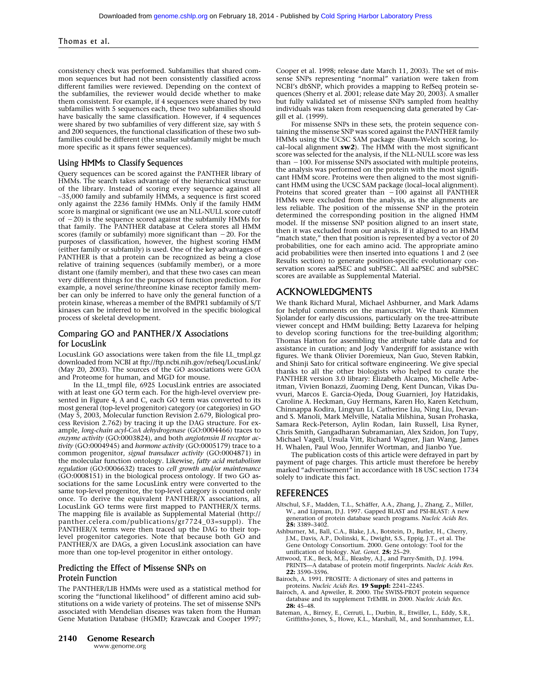consistency check was performed. Subfamilies that shared common sequences but had not been consistently classified across different families were reviewed. Depending on the context of the subfamilies, the reviewer would decide whether to make them consistent. For example, if 4 sequences were shared by two subfamilies with 5 sequences each, these two subfamilies should have basically the same classification. However, if 4 sequences were shared by two subfamilies of very different size, say with 5 and 200 sequences, the functional classification of these two subfamilies could be different (the smaller subfamily might be much more specific as it spans fewer sequences).

## Using HMMs to Classify Sequences

Query sequences can be scored against the PANTHER library of HMMs. The search takes advantage of the hierarchical structure of the library. Instead of scoring every sequence against all ∼35,000 family and subfamily HMMs, a sequence is first scored only against the 2236 family HMMs. Only if the family HMM score is marginal or significant (we use an NLL-NULL score cutoff of  $-20$ ) is the sequence scored against the subfamily HMMs for that family. The PANTHER database at Celera stores all HMM scores (family or subfamily) more significant than  $-20$ . For the purposes of classification, however, the highest scoring HMM (either family or subfamily) is used. One of the key advantages of PANTHER is that a protein can be recognized as being a close relative of training sequences (subfamily member), or a more distant one (family member), and that these two cases can mean very different things for the purposes of function prediction. For example, a novel serine/threonine kinase receptor family member can only be inferred to have only the general function of a protein kinase, whereas a member of the BMPR1 subfamily of S/T kinases can be inferred to be involved in the specific biological process of skeletal development.

## Comparing GO and PANTHER/X Associations for LocusLink

LocusLink GO associations were taken from the file LL\_tmpl.gz downloaded from NCBI at ftp://ftp.ncbi.nih.gov/refseq/LocusLink/ (May 20, 2003). The sources of the GO associations were GOA and Proteome for human, and MGD for mouse.

In the LL\_tmpl file, 6925 LocusLink entries are associated with at least one GO term each. For the high-level overview presented in Figure 4, A and C, each GO term was converted to its most general (top-level progenitor) category (or categories) in GO (May 5, 2003, Molecular function Revision 2.679, Biological process Revision 2.762) by tracing it up the DAG structure. For example, *long-chain acyl-CoA dehydrogenase* (GO:0004466) traces to *enzyme activity* (GO:0003824), and both *angiotensin II receptor activity* (GO:0004945) and *hormone activity* (GO:0005179) trace to a common progenitor, *signal transducer activity* (GO:0004871) in the molecular function ontology. Likewise, *fatty acid metabolism regulation* (GO:0006632) traces to *cell growth and/or maintenance* (GO:0008151) in the biological process ontology. If two GO associations for the same LocusLink entry were converted to the same top-level progenitor, the top-level category is counted only once. To derive the equivalent PANTHER/X associations, all LocusLink GO terms were first mapped to PANTHER/X terms. The mapping file is available as Supplemental Material (http:// panther.celera.com/publications/gr7724\_03=suppl). The PANTHER/X terms were then traced up the DAG to their toplevel progenitor categories. Note that because both GO and PANTHER/X are DAGs, a given LocusLink association can have more than one top-level progenitor in either ontology.

## Predicting the Effect of Missense SNPs on Protein Function

The PANTHER/LIB HMMs were used as a statistical method for scoring the "functional likelihood" of different amino acid substitutions on a wide variety of proteins. The set of missense SNPs associated with Mendelian diseases was taken from the Human Gene Mutation Database (HGMD; Krawczak and Cooper 1997;

For missense SNPs in these sets, the protein sequence containing the missense SNP was scored against the PANTHER family HMMs using the UCSC SAM package (Baum-Welch scoring, local–local alignment **sw2**). The HMM with the most significant score was selected for the analysis, if the NLL-NULL score was less than  $-100$ . For missense SNPs associated with multiple proteins, the analysis was performed on the protein with the most significant HMM score. Proteins were then aligned to the most significant HMM using the UCSC SAM package (local–local alignment). Proteins that scored greater than  $-100$  against all PANTHER HMMs were excluded from the analysis, as the alignments are less reliable. The position of the missense SNP in the protein determined the corresponding position in the aligned HMM model. If the missense SNP position aligned to an insert state, then it was excluded from our analysis. If it aligned to an HMM "match state," then that position is represented by a vector of 20 probabilities, one for each amino acid. The appropriate amino acid probabilities were then inserted into equations 1 and 2 (see Results section) to generate position-specific evolutionary conservation scores aaPSEC and subPSEC. All aaPSEC and subPSEC scores are available as Supplemental Material.

## ACKNOWLEDGMENTS

We thank Richard Mural, Michael Ashburner, and Mark Adams for helpful comments on the manuscript. We thank Kimmen Sjolander for early discussions, particularly on the tree-attribute viewer concept and HMM building; Betty Lazareva for helping to develop scoring functions for the tree-building algorithm; Thomas Hatton for assembling the attribute table data and for assistance in curation; and Jody Vandergriff for assistance with figures. We thank Olivier Doremieux, Nan Guo, Steven Rabkin, and Shinji Sato for critical software engineering. We give special thanks to all the other biologists who helped to curate the PANTHER version 3.0 library: Elizabeth Alcamo, Michelle Arbeitman, Vivien Bonazzi, Zuoming Deng, Kent Duncan, Vikas Duvvuri, Marcos E. Garcia-Ojeda, Doug Guarnieri, Joy Hatzidakis, Caroline A. Heckman, Guy Hermans, Karen Ho, Karen Ketchum, Chinnappa Kodira, Lingyun Li, Catherine Liu, Ning Liu, Devanand S. Manoli, Mark Melville, Natalia Milshina, Susan Prohaska, Samara Reck-Peterson, Aylin Rodan, Iain Russell, Lisa Ryner, Chris Smith, Gangadharan Subramanian, Alex Szidon, Jon Tupy, Michael Vagell, Ursula Vitt, Richard Wagner, Jian Wang, James H. Whalen, Paul Woo, Jennifer Wortman, and Jianbo Yue.

The publication costs of this article were defrayed in part by payment of page charges. This article must therefore be hereby marked "advertisement" in accordance with 18 USC section 1734 solely to indicate this fact.

## REFERENCES

- Altschul, S.F., Madden, T.L., Schäffer, A.A., Zhang, J., Zhang, Z., Miller, W., and Lipman, D.J. 1997. Gapped BLAST and PSI-BLAST: A new generation of protein database search programs. *Nucleic Acids Res.* **25:** 3389–3402.
- Ashburner, M., Ball, C.A., Blake, J.A., Botstein, D., Butler, H., Cherry, J.M., Davis, A.P., Dolinski, K., Dwight, S.S., Eppig, J.T., et al. The Gene Ontology Consortium. 2000. Gene ontology: Tool for the unification of biology. *Nat. Genet.* **25:** 25–29.
- Attwood, T.K., Beck, M.E., Bleasby, A.J., and Parry-Smith, D.J. 1994. PRINTS—A database of protein motif fingerprints. *Nucleic Acids Res.* **22:** 3590–3596.
- Bairoch, A. 1991. PROSITE: A dictionary of sites and patterns in proteins. *Nucleic Acids Res.* **19 Suppl:** 2241–2245.
- Bairoch, A. and Apweiler, R. 2000. The SWISS-PROT protein sequence database and its supplement TrEMBL in 2000. *Nucleic Acids Res.* **28:** 45–48.
- Bateman, A., Birney, E., Cerruti, L., Durbin, R., Etwiller, L., Eddy, S.R., Griffiths-Jones, S., Howe, K.L., Marshall, M., and Sonnhammer, E.L.